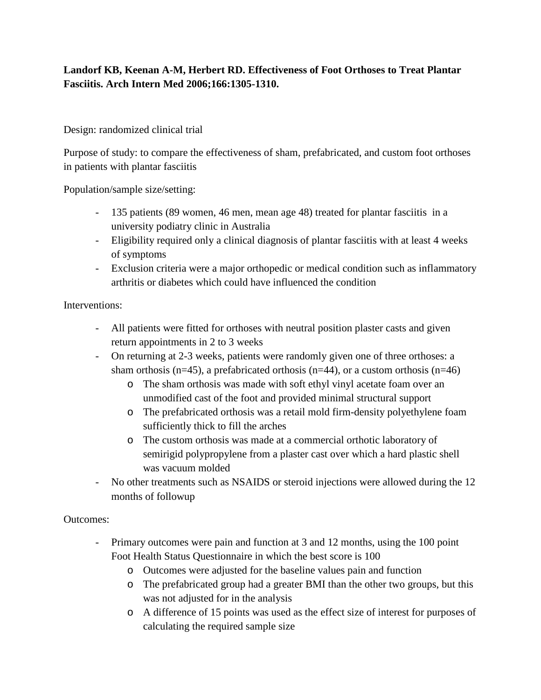# **Landorf KB, Keenan A-M, Herbert RD. Effectiveness of Foot Orthoses to Treat Plantar Fasciitis. Arch Intern Med 2006;166:1305-1310.**

### Design: randomized clinical trial

Purpose of study: to compare the effectiveness of sham, prefabricated, and custom foot orthoses in patients with plantar fasciitis

Population/sample size/setting:

- 135 patients (89 women, 46 men, mean age 48) treated for plantar fasciitis in a university podiatry clinic in Australia
- Eligibility required only a clinical diagnosis of plantar fasciitis with at least 4 weeks of symptoms
- Exclusion criteria were a major orthopedic or medical condition such as inflammatory arthritis or diabetes which could have influenced the condition

### Interventions:

- All patients were fitted for orthoses with neutral position plaster casts and given return appointments in 2 to 3 weeks
- On returning at 2-3 weeks, patients were randomly given one of three orthoses: a sham orthosis (n=45), a prefabricated orthosis (n=44), or a custom orthosis (n=46)
	- o The sham orthosis was made with soft ethyl vinyl acetate foam over an unmodified cast of the foot and provided minimal structural support
	- o The prefabricated orthosis was a retail mold firm-density polyethylene foam sufficiently thick to fill the arches
	- o The custom orthosis was made at a commercial orthotic laboratory of semirigid polypropylene from a plaster cast over which a hard plastic shell was vacuum molded
- No other treatments such as NSAIDS or steroid injections were allowed during the 12 months of followup

#### Outcomes:

- Primary outcomes were pain and function at 3 and 12 months, using the 100 point Foot Health Status Questionnaire in which the best score is 100
	- o Outcomes were adjusted for the baseline values pain and function
	- o The prefabricated group had a greater BMI than the other two groups, but this was not adjusted for in the analysis
	- o A difference of 15 points was used as the effect size of interest for purposes of calculating the required sample size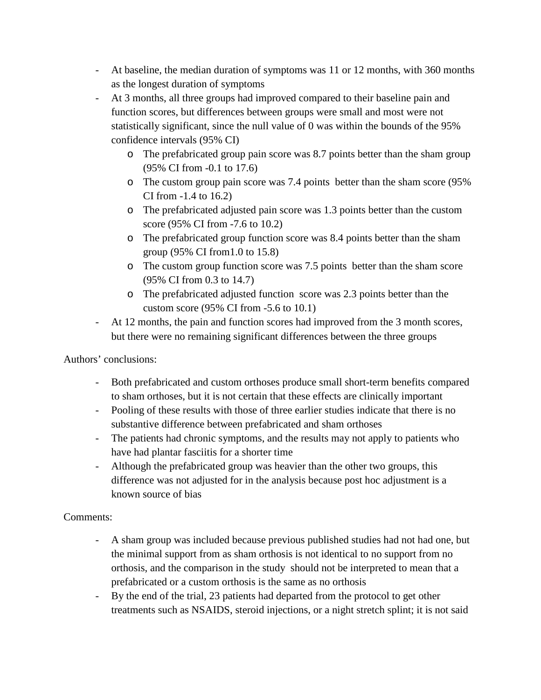- At baseline, the median duration of symptoms was 11 or 12 months, with 360 months as the longest duration of symptoms
- At 3 months, all three groups had improved compared to their baseline pain and function scores, but differences between groups were small and most were not statistically significant, since the null value of 0 was within the bounds of the 95% confidence intervals (95% CI)
	- o The prefabricated group pain score was 8.7 points better than the sham group (95% CI from -0.1 to 17.6)
	- o The custom group pain score was 7.4 points better than the sham score (95% CI from -1.4 to 16.2)
	- o The prefabricated adjusted pain score was 1.3 points better than the custom score (95% CI from -7.6 to 10.2)
	- o The prefabricated group function score was 8.4 points better than the sham group (95% CI from1.0 to 15.8)
	- o The custom group function score was 7.5 points better than the sham score (95% CI from 0.3 to 14.7)
	- o The prefabricated adjusted function score was 2.3 points better than the custom score (95% CI from -5.6 to 10.1)
- At 12 months, the pain and function scores had improved from the 3 month scores, but there were no remaining significant differences between the three groups

Authors' conclusions:

- Both prefabricated and custom orthoses produce small short-term benefits compared to sham orthoses, but it is not certain that these effects are clinically important
- Pooling of these results with those of three earlier studies indicate that there is no substantive difference between prefabricated and sham orthoses
- The patients had chronic symptoms, and the results may not apply to patients who have had plantar fasciitis for a shorter time
- Although the prefabricated group was heavier than the other two groups, this difference was not adjusted for in the analysis because post hoc adjustment is a known source of bias

# Comments:

- A sham group was included because previous published studies had not had one, but the minimal support from as sham orthosis is not identical to no support from no orthosis, and the comparison in the study should not be interpreted to mean that a prefabricated or a custom orthosis is the same as no orthosis
- By the end of the trial, 23 patients had departed from the protocol to get other treatments such as NSAIDS, steroid injections, or a night stretch splint; it is not said